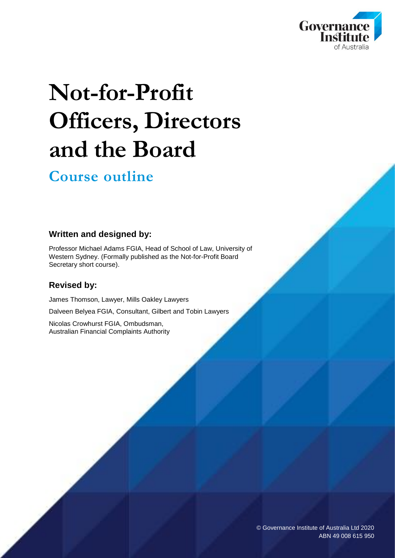

# **Not-for-Profit Officers, Directors and the Board**

### **Course outline**

#### **Written and designed by:**

Professor Michael Adams FGIA, Head of School of Law, University of Western Sydney. (Formally published as the Not-for-Profit Board Secretary short course).

#### **Revised by:**

James Thomson, Lawyer, Mills Oakley Lawyers

Dalveen Belyea FGIA, Consultant, Gilbert and Tobin Lawyers

Nicolas Crowhurst FGIA, Ombudsman, Australian Financial Complaints Authority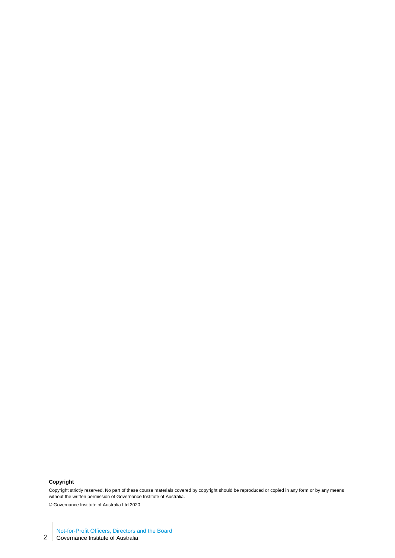#### **Copyright**

Copyright strictly reserved. No part of these course materials covered by copyright should be reproduced or copied in any form or by any means without the written permission of Governance Institute of Australia.

© Governance Institute of Australia Ltd 2020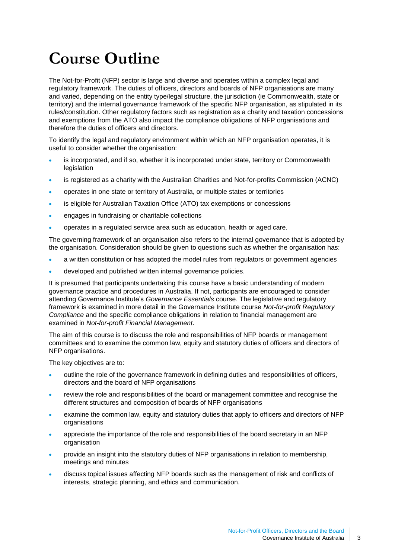# **Course Outline**

The Not-for-Profit (NFP) sector is large and diverse and operates within a complex legal and regulatory framework. The duties of officers, directors and boards of NFP organisations are many and varied, depending on the entity type/legal structure, the jurisdiction (ie Commonwealth, state or territory) and the internal governance framework of the specific NFP organisation, as stipulated in its rules/constitution. Other regulatory factors such as registration as a charity and taxation concessions and exemptions from the ATO also impact the compliance obligations of NFP organisations and therefore the duties of officers and directors.

To identify the legal and regulatory environment within which an NFP organisation operates, it is useful to consider whether the organisation:

- is incorporated, and if so, whether it is incorporated under state, territory or Commonwealth legislation
- is registered as a charity with the Australian Charities and Not-for-profits Commission (ACNC)
- operates in one state or territory of Australia, or multiple states or territories
- is eligible for Australian Taxation Office (ATO) tax exemptions or concessions
- engages in fundraising or charitable collections
- operates in a regulated service area such as education, health or aged care.

The governing framework of an organisation also refers to the internal governance that is adopted by the organisation. Consideration should be given to questions such as whether the organisation has:

- a written constitution or has adopted the model rules from regulators or government agencies
- developed and published written internal governance policies.

It is presumed that participants undertaking this course have a basic understanding of modern governance practice and procedures in Australia. If not, participants are encouraged to consider attending Governance Institute's *Governance Essentials* course. The legislative and regulatory framework is examined in more detail in the Governance Institute course *Not-for-profit Regulatory Compliance* and the specific compliance obligations in relation to financial management are examined in *Not-for-profit Financial Management*.

The aim of this course is to discuss the role and responsibilities of NFP boards or management committees and to examine the common law, equity and statutory duties of officers and directors of NFP organisations.

The key objectives are to:

- outline the role of the governance framework in defining duties and responsibilities of officers, directors and the board of NFP organisations
- review the role and responsibilities of the board or management committee and recognise the different structures and composition of boards of NFP organisations
- examine the common law, equity and statutory duties that apply to officers and directors of NFP organisations
- appreciate the importance of the role and responsibilities of the board secretary in an NFP organisation
- provide an insight into the statutory duties of NFP organisations in relation to membership, meetings and minutes
- discuss topical issues affecting NFP boards such as the management of risk and conflicts of interests, strategic planning, and ethics and communication.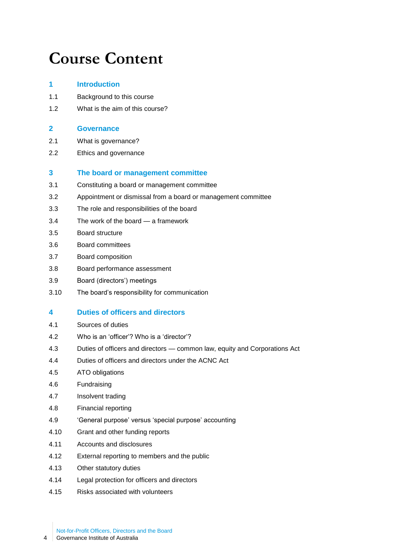## **Course Content**

### **1 Introduction**

- 1.1 Background to this course
- 1.2 What is the aim of this course?

#### **2 Governance**

- 2.1 What is governance?
- 2.2 Ethics and governance

#### **3 The board or management committee**

- 3.1 Constituting a board or management committee
- 3.2 Appointment or dismissal from a board or management committee
- 3.3 The role and responsibilities of the board
- 3.4 The work of the board a framework
- 3.5 Board structure
- 3.6 Board committees
- 3.7 Board composition
- 3.8 Board performance assessment
- 3.9 Board (directors') meetings
- 3.10 The board's responsibility for communication

#### **4 Duties of officers and directors**

- 4.1 Sources of duties
- 4.2 Who is an 'officer'? Who is a 'director'?
- 4.3 Duties of officers and directors common law, equity and Corporations Act
- 4.4 Duties of officers and directors under the ACNC Act
- 4.5 ATO obligations
- 4.6 Fundraising
- 4.7 Insolvent trading
- 4.8 Financial reporting
- 4.9 'General purpose' versus 'special purpose' accounting
- 4.10 Grant and other funding reports
- 4.11 Accounts and disclosures
- 4.12 External reporting to members and the public
- 4.13 Other statutory duties
- 4.14 Legal protection for officers and directors
- 4.15 Risks associated with volunteers